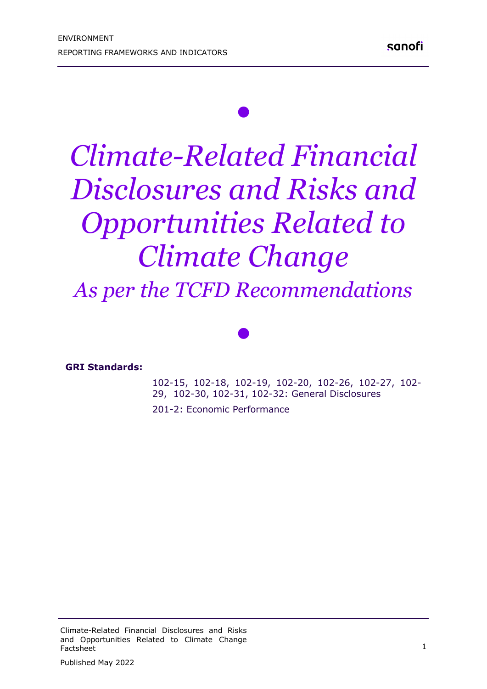# *Climate-Related Financial Disclosures and Risks and Opportunities Related to Climate Change*

*•*

*As per the TCFD Recommendations* 

*•*

#### **GRI Standards:**

102-15, 102-18, 102-19, 102-20, 102-26, 102-27, 102- 29, 102-30, 102-31, 102-32: General Disclosures

201-2: Economic Performance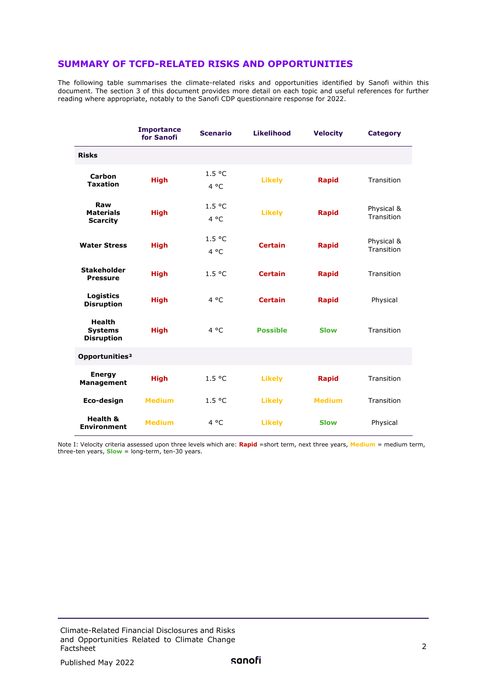#### **SUMMARY OF TCFD-RELATED RISKS AND OPPORTUNITIES**

The following table summarises the climate-related risks and opportunities identified by Sanofi within this document. The section 3 of this document provides more detail on each topic and useful references for further reading where appropriate, notably to the Sanofi CDP questionnaire response for 2022.

|                                                      | <b>Importance</b><br>for Sanofi | <b>Scenario</b>         | <b>Likelihood</b> | <b>Velocity</b> | <b>Category</b>          |
|------------------------------------------------------|---------------------------------|-------------------------|-------------------|-----------------|--------------------------|
| <b>Risks</b>                                         |                                 |                         |                   |                 |                          |
| <b>Carbon</b><br><b>Taxation</b>                     | <b>High</b>                     | 1.5 °C<br>$4^{\circ}$ C | <b>Likely</b>     | <b>Rapid</b>    | Transition               |
| Raw<br><b>Materials</b><br><b>Scarcity</b>           | <b>High</b>                     | 1.5 °C<br>$4^{\circ}$ C | <b>Likely</b>     | <b>Rapid</b>    | Physical &<br>Transition |
| <b>Water Stress</b>                                  | <b>High</b>                     | 1.5 °C<br>$4^{\circ}$ C | <b>Certain</b>    | <b>Rapid</b>    | Physical &<br>Transition |
| <b>Stakeholder</b><br><b>Pressure</b>                | <b>High</b>                     | 1.5 °C                  | <b>Certain</b>    | <b>Rapid</b>    | Transition               |
| Logistics<br><b>Disruption</b>                       | <b>High</b>                     | $4^{\circ}$ C           | <b>Certain</b>    | <b>Rapid</b>    | Physical                 |
| <b>Health</b><br><b>Systems</b><br><b>Disruption</b> | <b>High</b>                     | $4^{\circ}$ C           | <b>Possible</b>   | <b>Slow</b>     | Transition               |
| Opportunities <sup>2</sup>                           |                                 |                         |                   |                 |                          |
| <b>Energy</b><br><b>Management</b>                   | <b>High</b>                     | 1.5 °C                  | <b>Likely</b>     | <b>Rapid</b>    | Transition               |
| Eco-design                                           | <b>Medium</b>                   | 1.5 °C                  | <b>Likely</b>     | <b>Medium</b>   | Transition               |
| <b>Health &amp;</b><br><b>Environment</b>            | <b>Medium</b>                   | $4^{\circ}$ C           | <b>Likely</b>     | <b>Slow</b>     | Physical                 |

Note I: Velocity criteria assessed upon three levels which are: **Rapid** =short term, next three years, **Medium** = medium term, three-ten years, **Slow** = long-term, ten-30 years.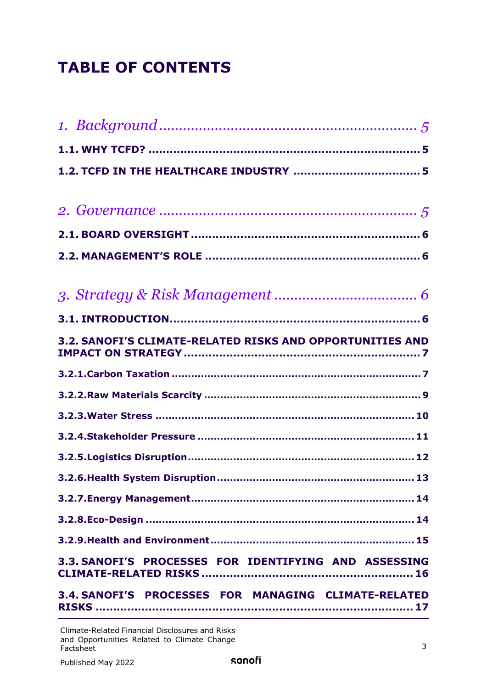## **TABLE OF CONTENTS**

| 3.2. SANOFI'S CLIMATE-RELATED RISKS AND OPPORTUNITIES AND |
|-----------------------------------------------------------|
|                                                           |
|                                                           |
|                                                           |
|                                                           |
|                                                           |
|                                                           |
|                                                           |
|                                                           |
|                                                           |
| 3.3. SANOFI'S PROCESSES FOR IDENTIFYING AND ASSESSING     |
| 3.4. SANOFI'S PROCESSES FOR MANAGING CLIMATE-RELATED      |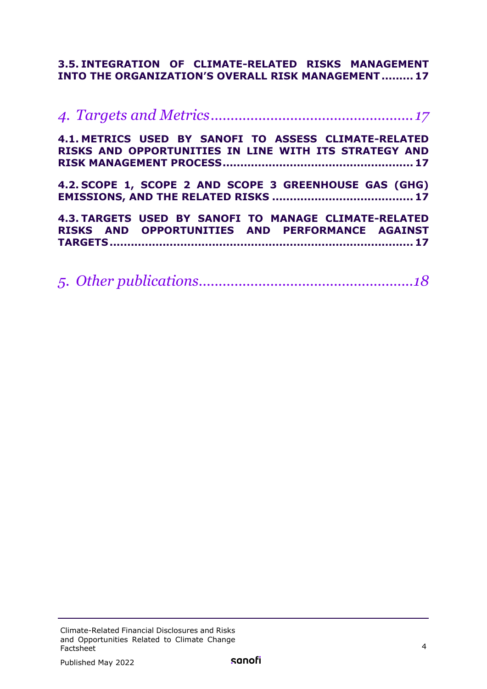### **3.5. [INTEGRATION OF CLIMATE-RELATED RISKS MANAGEMENT](#page-16-1)  [INTO THE ORGANIZATION'S OVERALL RISK MANAGEMENT.........](#page-16-1) 17**

| 4.1. METRICS USED BY SANOFI TO ASSESS CLIMATE-RELATED<br>RISKS AND OPPORTUNITIES IN LINE WITH ITS STRATEGY AND |  |
|----------------------------------------------------------------------------------------------------------------|--|
| 4.2. SCOPE 1, SCOPE 2 AND SCOPE 3 GREENHOUSE GAS (GHG)                                                         |  |
| 4.3. TARGETS USED BY SANOFI TO MANAGE CLIMATE-RELATED<br>RISKS AND OPPORTUNITIES AND PERFORMANCE AGAINST       |  |

|--|--|--|--|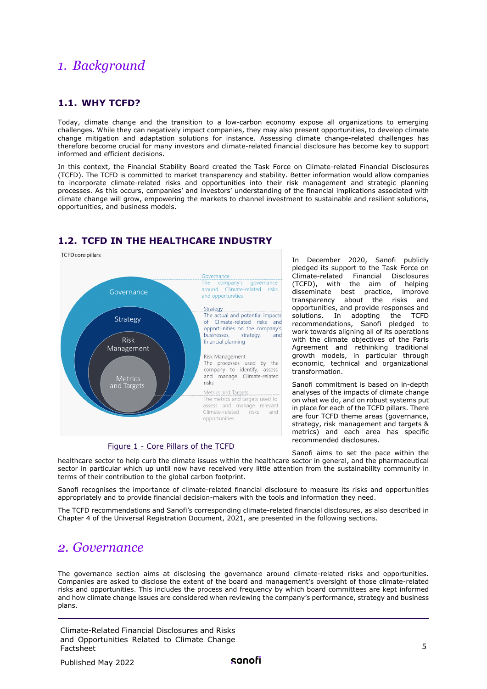## <span id="page-4-0"></span>*1. Background*

#### <span id="page-4-1"></span>**1.1. WHY TCFD?**

Today, climate change and the transition to a low-carbon economy expose all organizations to emerging challenges. While they can negatively impact companies, they may also present opportunities, to develop climate change mitigation and adaptation solutions for instance. Assessing climate change-related challenges has therefore become crucial for many investors and climate-related financial disclosure has become key to support informed and efficient decisions.

In this context, the Financial Stability Board created the Task Force on Climate-related Financial Disclosures (TCFD). The TCFD is committed to market transparency and stability. Better information would allow companies to incorporate climate-related risks and opportunities into their risk management and strategic planning processes. As this occurs, companies' and investors' understanding of the financial implications associated with climate change will grow, empowering the markets to channel investment to sustainable and resilient solutions, opportunities, and business models.



#### <span id="page-4-2"></span>**1.2. TCFD IN THE HEALTHCARE INDUSTRY**

In December 2020, Sanofi publicly pledged its support to the Task Force on Climate-related Financial Disclosures (TCFD), with the aim of helping disseminate best practice, improve transparency about the risks and opportunities, and provide responses and solutions. In adopting the TCFD recommendations, Sanofi pledged to work towards aligning all of its operations with the climate objectives of the Paris Agreement and rethinking traditional growth models, in particular through economic, technical and organizational transformation.

Sanofi commitment is based on in-depth analyses of the impacts of climate change on what we do, and on robust systems put in place for each of the TCFD pillars. There are four TCFD theme areas (governance, strategy, risk management and targets & metrics) and each area has specific recommended disclosures.

#### Figure 1 - Core Pillars of the TCFD

Sanofi aims to set the pace within the healthcare sector to help curb the climate issues within the healthcare sector in general, and the pharmaceutical sector in particular which up until now have received very little attention from the sustainability community in terms of their contribution to the global carbon footprint.

Sanofi recognises the importance of climate-related financial disclosure to measure its risks and opportunities appropriately and to provide financial decision-makers with the tools and information they need.

The TCFD recommendations and Sanofi's corresponding climate-related financial disclosures, as also described in Chapter 4 of the Universal Registration Document, 2021, are presented in the following sections.

## <span id="page-4-3"></span>*2. Governance*

The governance section aims at disclosing the governance around climate-related risks and opportunities. Companies are asked to disclose the extent of the board and management's oversight of those climate-related risks and opportunities. This includes the process and frequency by which board committees are kept informed and how climate change issues are considered when reviewing the company's performance, strategy and business plans.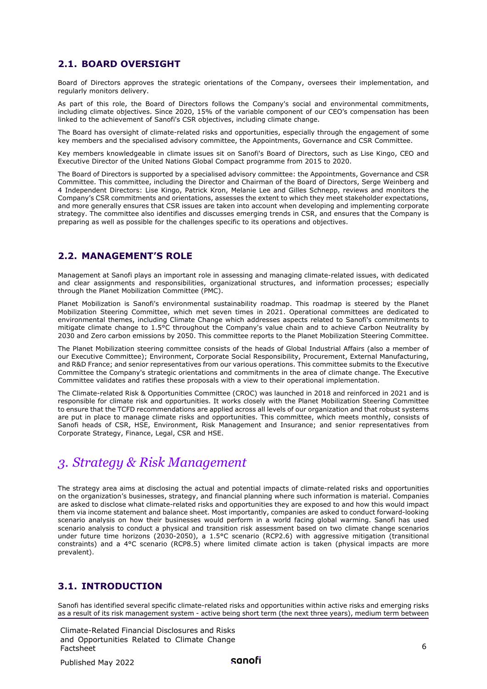#### <span id="page-5-0"></span>**2.1. BOARD OVERSIGHT**

Board of Directors approves the strategic orientations of the Company, oversees their implementation, and regularly monitors delivery.

As part of this role, the Board of Directors follows the Company's social and environmental commitments, including climate objectives. Since 2020, 15% of the variable component of our CEO's compensation has been linked to the achievement of Sanofi's CSR objectives, including climate change.

The Board has oversight of climate-related risks and opportunities, especially through the engagement of some key members and the specialised advisory committee, the Appointments, Governance and CSR Committee.

Key members knowledgeable in climate issues sit on Sanofi's Board of Directors, such as Lise Kingo, CEO and Executive Director of the United Nations Global Compact programme from 2015 to 2020.

The Board of Directors is supported by a specialised advisory committee: the Appointments, Governance and CSR Committee. This committee, including the Director and Chairman of the Board of Directors, Serge Weinberg and 4 Independent Directors: Lise Kingo, Patrick Kron, Melanie Lee and Gilles Schnepp, reviews and monitors the Company's CSR commitments and orientations, assesses the extent to which they meet stakeholder expectations, and more generally ensures that CSR issues are taken into account when developing and implementing corporate strategy. The committee also identifies and discusses emerging trends in CSR, and ensures that the Company is preparing as well as possible for the challenges specific to its operations and objectives.

#### <span id="page-5-1"></span>**2.2. MANAGEMENT'S ROLE**

Management at Sanofi plays an important role in assessing and managing climate-related issues, with dedicated and clear assignments and responsibilities, organizational structures, and information processes; especially through the Planet Mobilization Committee (PMC).

Planet Mobilization is Sanofi's environmental sustainability roadmap. This roadmap is steered by the Planet Mobilization Steering Committee, which met seven times in 2021. Operational committees are dedicated to environmental themes, including Climate Change which addresses aspects related to Sanofi's commitments to mitigate climate change to 1.5°C throughout the Company's value chain and to achieve Carbon Neutrality by 2030 and Zero carbon emissions by 2050. This committee reports to the Planet Mobilization Steering Committee.

The Planet Mobilization steering committee consists of the heads of Global Industrial Affairs (also a member of our Executive Committee); Environment, Corporate Social Responsibility, Procurement, External Manufacturing, and R&D France; and senior representatives from our various operations. This committee submits to the Executive Committee the Company's strategic orientations and commitments in the area of climate change. The Executive Committee validates and ratifies these proposals with a view to their operational implementation.

The Climate-related Risk & Opportunities Committee (CROC) was launched in 2018 and reinforced in 2021 and is responsible for climate risk and opportunities. It works closely with the Planet Mobilization Steering Committee to ensure that the TCFD recommendations are applied across all levels of our organization and that robust systems are put in place to manage climate risks and opportunities. This committee, which meets monthly, consists of Sanofi heads of CSR, HSE, Environment, Risk Management and Insurance; and senior representatives from Corporate Strategy, Finance, Legal, CSR and HSE.

## <span id="page-5-2"></span>*3. Strategy & Risk Management*

The strategy area aims at disclosing the actual and potential impacts of climate-related risks and opportunities on the organization's businesses, strategy, and financial planning where such information is material. Companies are asked to disclose what climate-related risks and opportunities they are exposed to and how this would impact them via income statement and balance sheet. Most importantly, companies are asked to conduct forward-looking scenario analysis on how their businesses would perform in a world facing global warming. Sanofi has used scenario analysis to conduct a physical and transition risk assessment based on two climate change scenarios under future time horizons (2030-2050), a 1.5°C scenario (RCP2.6) with aggressive mitigation (transitional constraints) and a 4°C scenario (RCP8.5) where limited climate action is taken (physical impacts are more prevalent).

#### <span id="page-5-3"></span>**3.1. INTRODUCTION**

Sanofi has identified several specific climate-related risks and opportunities within active risks and emerging risks as a result of its risk management system - active being short term (the next three years), medium term between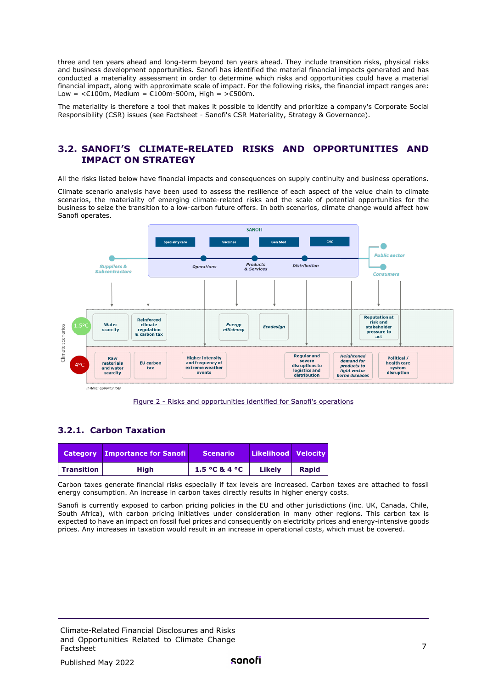three and ten years ahead and long-term beyond ten years ahead. They include transition risks, physical risks and business development opportunities. Sanofi has identified the material financial impacts generated and has conducted a materiality assessment in order to determine which risks and opportunities could have a material financial impact, along with approximate scale of impact. For the following risks, the financial impact ranges are: Low = <€100m, Medium = €100m-500m, High = >€500m.

<span id="page-6-0"></span>The materiality is therefore a tool that makes it possible to identify and prioritize a company's Corporate Social Responsibility (CSR) issues (see Factsheet - Sanofi's CSR Materiality, Strategy & Governance).

#### **3.2. SANOFI'S CLIMATE-RELATED RISKS AND OPPORTUNITIES AND IMPACT ON STRATEGY**

All the risks listed below have financial impacts and consequences on supply continuity and business operations.

Climate scenario analysis have been used to assess the resilience of each aspect of the value chain to climate scenarios, the materiality of emerging climate-related risks and the scale of potential opportunities for the business to seize the transition to a low-carbon future offers. In both scenarios, climate change would affect how Sanofi operates.



Figure 2 - Risks and opportunities identified for Sanofi's operations

#### <span id="page-6-1"></span>**3.2.1. Carbon Taxation**

|                   | <b>Category Importance for Sanofi</b> | <b>Scenario</b> | Likelihood Velocity |              |
|-------------------|---------------------------------------|-----------------|---------------------|--------------|
| <b>Transition</b> | <b>High</b>                           | 1.5 °C & 4 °C   | Likely              | <b>Rapid</b> |

Carbon taxes generate financial risks especially if tax levels are increased. Carbon taxes are attached to fossil energy consumption. An increase in carbon taxes directly results in higher energy costs.

Sanofi is currently exposed to carbon pricing policies in the EU and other jurisdictions (inc. UK, Canada, Chile, South Africa), with carbon pricing initiatives under consideration in many other regions. This carbon tax is expected to have an impact on fossil fuel prices and consequently on electricity prices and energy-intensive goods prices. Any increases in taxation would result in an increase in operational costs, which must be covered.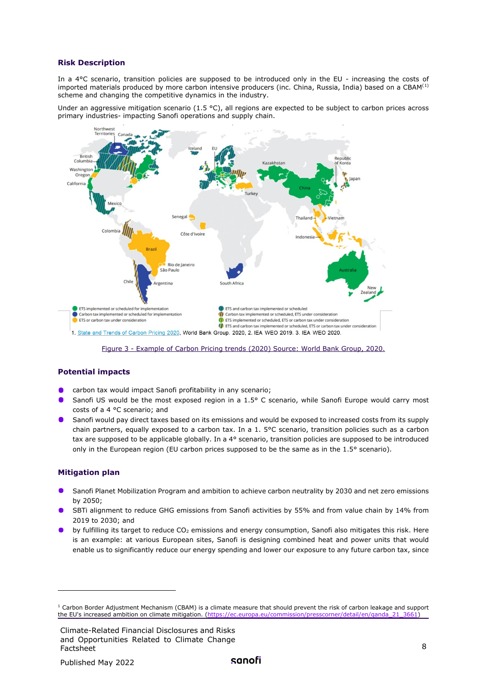#### **Risk Description**

In a 4°C scenario, transition policies are supposed to be introduced only in the EU - increasing the costs of imported materials produced by more carbon intensive producers (inc. China, Russia, India) based on a CBAM([1](#page-8-1)) scheme and changing the competitive dynamics in the industry.

Under an aggressive mitigation scenario (1.5  $^{\circ}$ C), all regions are expected to be subject to carbon prices across primary industries- impacting Sanofi operations and supply chain.



Figure 3 - Example of Carbon Pricing trends (2020) Source: World Bank Group, 2020.

#### **Potential impacts**

- carbon tax would impact Sanofi profitability in any scenario;
- Sanofi US would be the most exposed region in a 1.5° C scenario, while Sanofi Europe would carry most costs of a 4 °C scenario; and
- Sanofi would pay direct taxes based on its emissions and would be exposed to increased costs from its supply chain partners, equally exposed to a carbon tax. In a 1. 5°C scenario, transition policies such as a carbon tax are supposed to be applicable globally. In a 4° scenario, transition policies are supposed to be introduced only in the European region (EU carbon prices supposed to be the same as in the 1.5° scenario).

#### **Mitigation plan**

- Sanofi Planet Mobilization Program and ambition to achieve carbon neutrality by 2030 and net zero emissions by 2050;
- SBTi alignment to reduce GHG emissions from Sanofi activities by 55% and from value chain by 14% from 2019 to 2030; and
- by fulfilling its target to reduce  $CO<sub>2</sub>$  emissions and energy consumption, Sanofi also mitigates this risk. Here is an example: at various European sites, Sanofi is designing combined heat and power units that would enable us to significantly reduce our energy spending and lower our exposure to any future carbon tax, since

<sup>&</sup>lt;sup>1</sup> Carbon Border Adjustment Mechanism (CBAM) is a climate measure that should prevent the risk of carbon leakage and support the FII's increased ambition on climate mitigation (https://ec.eurona.eu/commission/presscorper the EU's increased ambition on climate mitigation. (https://ec.europa.eu/commis

Climate-Related Financial Disclosures and Risks and Opportunities Related to Climate Change Factsheet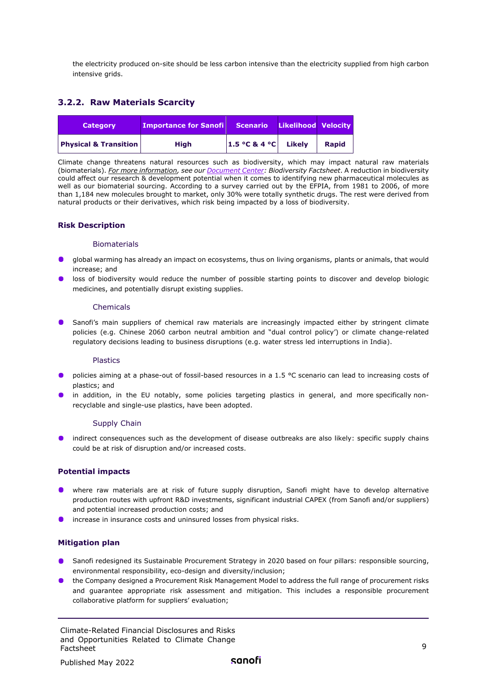<span id="page-8-0"></span>the electricity produced on-site should be less carbon intensive than the electricity supplied from high carbon intensive grids.

#### **3.2.2. Raw Materials Scarcity**

| <b>Category</b>                  | <b>Importance for Sanofi</b> | <b>Scenario</b>      | Likelihood Velocity |              |
|----------------------------------|------------------------------|----------------------|---------------------|--------------|
| <b>Physical &amp; Transition</b> | <b>High</b>                  | 1.5 °C & 4 °C Likely |                     | <b>Rapid</b> |

Climate change threatens natural resources such as biodiversity, which may impact natural raw materials (biomaterials). *For more information, see our [Document Center:](https://www.sanofi.com/en/our-responsibility/documents-center/all-factsheets) Biodiversity Factsheet*. A reduction in biodiversity could affect our research & development potential when it comes to identifying new pharmaceutical molecules as well as our biomaterial sourcing. According to a survey carried out by the EFPIA, from 1981 to 2006, of more than 1,184 new molecules brought to market, only 30% were totally synthetic drugs. The rest were derived from natural products or their derivatives, which risk being impacted by a loss of biodiversity.

#### **Risk Description**

#### Biomaterials

- global warming has already an impact on ecosystems, thus on living organisms, plants or animals, that would increase; and
- **In** loss of biodiversity would reduce the number of possible starting points to discover and develop biologic medicines, and potentially disrupt existing supplies.

#### Chemicals

**Sanofi's main suppliers of chemical raw materials are increasingly impacted either by stringent climate** policies (e.g. Chinese 2060 carbon neutral ambition and "dual control policy') or climate change-related regulatory decisions leading to business disruptions (e.g. water stress led interruptions in India).

#### Plastics

- policies aiming at a phase-out of fossil-based resources in a 1.5 °C scenario can lead to increasing costs of plastics; and
- in addition, in the EU notably, some policies targeting plastics in general, and more specifically nonrecyclable and single-use plastics, have been adopted.

#### Supply Chain

indirect consequences such as the development of disease outbreaks are also likely: specific supply chains could be at risk of disruption and/or increased costs.

#### **Potential impacts**

- **O** where raw materials are at risk of future supply disruption, Sanofi might have to develop alternative production routes with upfront R&D investments, significant industrial CAPEX (from Sanofi and/or suppliers) and potential increased production costs; and
- **O** increase in insurance costs and uninsured losses from physical risks.

#### **Mitigation plan**

- Sanofi redesigned its Sustainable Procurement Strategy in 2020 based on four pillars: responsible sourcing, environmental responsibility, eco-design and diversity/inclusion;
- <span id="page-8-1"></span>the Company designed a Procurement Risk Management Model to address the full range of procurement risks and guarantee appropriate risk assessment and mitigation. This includes a responsible procurement collaborative platform for suppliers' evaluation;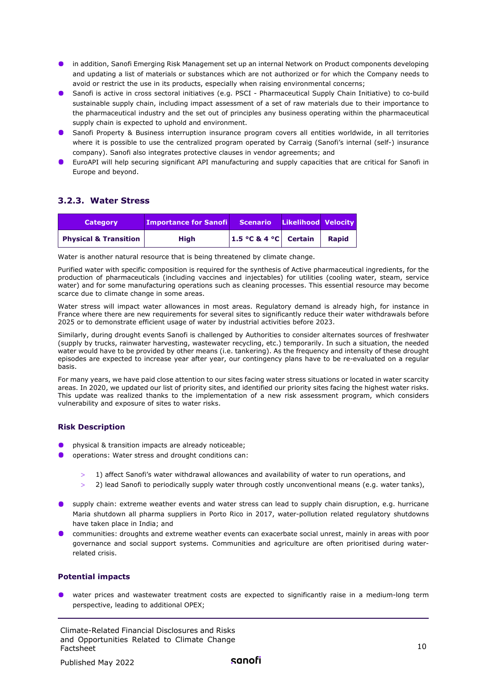- **In addition, Sanofi Emerging Risk Management set up an internal Network on Product components developing** and updating a list of materials or substances which are not authorized or for which the Company needs to avoid or restrict the use in its products, especially when raising environmental concerns;
- **Sanofi is active in cross sectoral initiatives (e.g. PSCI Pharmaceutical Supply Chain Initiative) to co-build** sustainable supply chain, including impact assessment of a set of raw materials due to their importance to the pharmaceutical industry and the set out of principles any business operating within the pharmaceutical supply chain is expected to uphold and environment.
- **O** Sanofi Property & Business interruption insurance program covers all entities worldwide, in all territories where it is possible to use the centralized program operated by Carraig (Sanofi's internal (self-) insurance company). Sanofi also integrates protective clauses in vendor agreements; and
- EuroAPI will help securing significant API manufacturing and supply capacities that are critical for Sanofi in Europe and beyond.

#### <span id="page-9-0"></span>**3.2.3. Water Stress**

| <b>Category</b>                  | <b>Importance for Sanofill</b> | Scenario              | <b>Likelihood Velocity</b> |              |
|----------------------------------|--------------------------------|-----------------------|----------------------------|--------------|
| <b>Physical &amp; Transition</b> | <b>High</b>                    | 1.5 °C & 4 °C Certain |                            | <b>Rapid</b> |

Water is another natural resource that is being threatened by climate change.

Purified water with specific composition is required for the synthesis of Active pharmaceutical ingredients, for the production of pharmaceuticals (including vaccines and injectables) for utilities (cooling water, steam, service water) and for some manufacturing operations such as cleaning processes. This essential resource may become scarce due to climate change in some areas.

Water stress will impact water allowances in most areas. Regulatory demand is already high, for instance in France where there are new requirements for several sites to significantly reduce their water withdrawals before 2025 or to demonstrate efficient usage of water by industrial activities before 2023.

Similarly, during drought events Sanofi is challenged by Authorities to consider alternates sources of freshwater (supply by trucks, rainwater harvesting, wastewater recycling, etc.) temporarily. In such a situation, the needed water would have to be provided by other means (i.e. tankering). As the frequency and intensity of these drought episodes are expected to increase year after year, our contingency plans have to be re-evaluated on a regular basis.

For many years, we have paid close attention to our sites facing water stress situations or located in water scarcity areas. In 2020, we updated our list of priority sites, and identified our priority sites facing the highest water risks. This update was realized thanks to the implementation of a new risk assessment program, which considers vulnerability and exposure of sites to water risks.

#### **Risk Description**

- physical & transition impacts are already noticeable;
- operations: Water stress and drought conditions can:
	- 1) affect Sanofi's water withdrawal allowances and availability of water to run operations, and
	- > 2) lead Sanofi to periodically supply water through costly unconventional means (e.g. water tanks),
- **O** supply chain: extreme weather events and water stress can lead to supply chain disruption, e.g. hurricane Maria shutdown all pharma suppliers in Porto Rico in 2017, water-pollution related regulatory shutdowns have taken place in India; and
- communities: droughts and extreme weather events can exacerbate social unrest, mainly in areas with poor governance and social support systems. Communities and agriculture are often prioritised during waterrelated crisis.

#### **Potential impacts**

water prices and wastewater treatment costs are expected to significantly raise in a medium-long term perspective, leading to additional OPEX;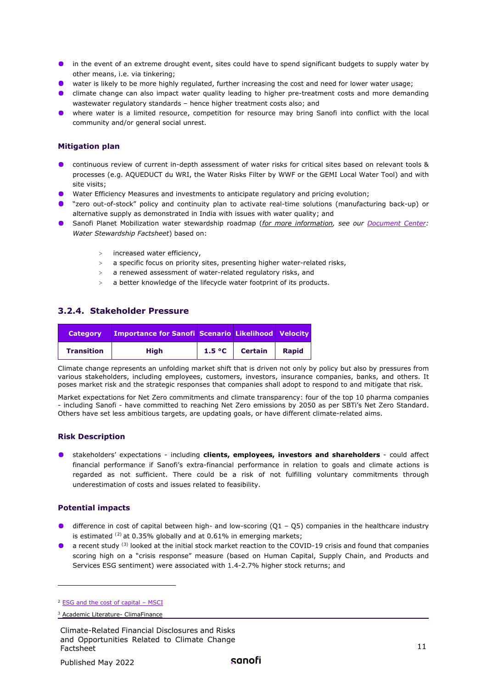- **•** in the event of an extreme drought event, sites could have to spend significant budgets to supply water by other means, i.e. via tinkering;
- water is likely to be more highly regulated, further increasing the cost and need for lower water usage;
- **O** climate change can also impact water quality leading to higher pre-treatment costs and more demanding wastewater regulatory standards – hence higher treatment costs also; and
- where water is a limited resource, competition for resource may bring Sanofi into conflict with the local community and/or general social unrest.

#### **Mitigation plan**

- continuous review of current in-depth assessment of water risks for critical sites based on relevant tools & processes (e.g. AQUEDUCT du WRI, the Water Risks Filter by WWF or the GEMI Local Water Tool) and with site visits;
- **Water Efficiency Measures and investments to anticipate regulatory and pricing evolution;**
- "zero out-of-stock" policy and continuity plan to activate real-time solutions (manufacturing back-up) or alternative supply as demonstrated in India with issues with water quality; and
- Sanofi Planet Mobilization water stewardship roadmap (*for more information, see our [Document Center:](https://www.sanofi.com/en/our-responsibility/documents-center/all-factsheets) Water Stewardship Factsheet*) based on:
	- > increased water efficiency,
	- > a specific focus on priority sites, presenting higher water-related risks,
	- > a renewed assessment of water-related regulatory risks, and
	- a better knowledge of the lifecycle water footprint of its products.

#### <span id="page-10-0"></span>**3.2.4. Stakeholder Pressure**

| <b>Category</b>   | <b>Importance for Sanofi Scenario Likelihood Velocity</b> |        |                |              |
|-------------------|-----------------------------------------------------------|--------|----------------|--------------|
| <b>Transition</b> | <b>High</b>                                               | 1.5 °C | <b>Certain</b> | <b>Rapid</b> |

Climate change represents an unfolding market shift that is driven not only by policy but also by pressures from various stakeholders, including employees, customers, investors, insurance companies, banks, and others. It poses market risk and the strategic responses that companies shall adopt to respond to and mitigate that risk.

Market expectations for Net Zero commitments and climate transparency: four of the top 10 pharma companies - including Sanofi - have committed to reaching Net Zero emissions by 2050 as per SBTi's Net Zero Standard. Others have set less ambitious targets, are updating goals, or have different climate-related aims.

#### **Risk Description**

stakeholders' expectations - including **clients, employees, investors and shareholders** - could affect financial performance if Sanofi's extra-financial performance in relation to goals and climate actions is regarded as not sufficient. There could be a risk of not fulfilling voluntary commitments through underestimation of costs and issues related to feasibility.

#### **Potential impacts**

- difference in cost of capital between high- and low-scoring  $(Q1 Q5)$  companies in the healthcare industry is estimated  $^{(2)}$  $^{(2)}$  $^{(2)}$  at 0.35% globally and at 0.61% in emerging markets;
- a recent study <sup>([3\)](#page-11-2)</sup> looked at the initial stock market reaction to the COVID-19 crisis and found that companies scoring high on a "crisis response" measure (based on Human Capital, Supply Chain, and Products and Services ESG sentiment) were associated with 1.4-2.7% higher stock returns; and

<sup>&</sup>lt;sup>2</sup> ESG and the cost of capital - MSCI

<sup>3</sup> [Academic Literature- ClimaFinance](http://climafinance.com/academic-literature-esg-activities-drive-better-financial-performance/)

Climate-Related Financial Disclosures and Risks and Opportunities Related to Climate Change Factsheet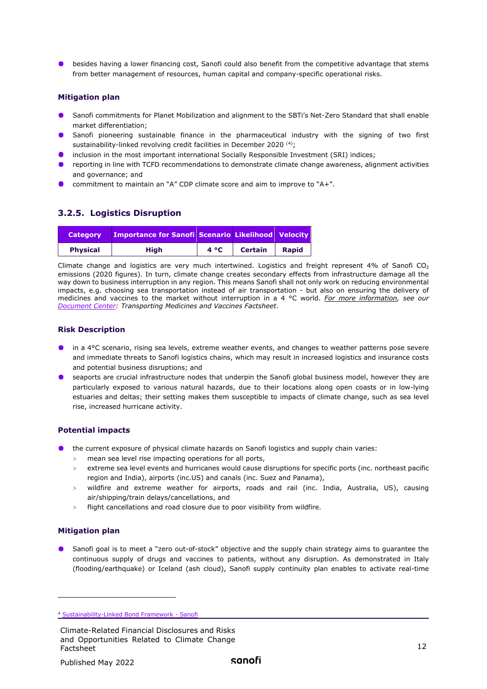**O** besides having a lower financing cost, Sanofi could also benefit from the competitive advantage that stems from better management of resources, human capital and company-specific operational risks.

#### **Mitigation plan**

- Sanofi commitments for Planet Mobilization and alignment to the SBTi's Net-Zero Standard that shall enable market differentiation;
- Sanofi pioneering sustainable finance in the pharmaceutical industry with the signing of two first sustainability-linked revolving credit facilities in December 2020<sup>[\(4\)](#page-12-1)</sup>;
- **O** inclusion in the most important international Socially Responsible Investment (SRI) indices;
- **•** reporting in line with TCFD recommendations to demonstrate climate change awareness, alignment activities and governance; and
- commitment to maintain an "A" CDP climate score and aim to improve to "A+".

#### <span id="page-11-0"></span>**3.2.5. Logistics Disruption**

| <b>Category</b> | <b>Importance for Sanofi Scenario Likelihood Velocity</b> |              |                |              |
|-----------------|-----------------------------------------------------------|--------------|----------------|--------------|
| <b>Physical</b> | Hiah                                                      | $4^{\circ}C$ | <b>Certain</b> | <b>Rapid</b> |

Climate change and logistics are very much intertwined. Logistics and freight represent 4% of Sanofi  $CO<sub>2</sub>$ emissions (2020 figures). In turn, climate change creates secondary effects from infrastructure damage all the way down to business interruption in any region. This means Sanofi shall not only work on reducing environmental impacts, e.g. choosing sea transportation instead of air transportation - but also on ensuring the delivery of medicines and vaccines to the market without interruption in a 4 °C world. *For more information, see our [Document Center:](https://www.sanofi.com/en/our-responsibility/documents-center/all-factsheets) Transporting Medicines and Vaccines Factsheet*.

#### **Risk Description**

- in a 4°C scenario, rising sea levels, extreme weather events, and changes to weather patterns pose severe and immediate threats to Sanofi logistics chains, which may result in increased logistics and insurance costs and potential business disruptions; and
- **•** seaports are crucial infrastructure nodes that underpin the Sanofi global business model, however they are particularly exposed to various natural hazards, due to their locations along open coasts or in low-lying estuaries and deltas; their setting makes them susceptible to impacts of climate change, such as sea level rise, increased hurricane activity.

#### **Potential impacts**

- the current exposure of physical climate hazards on Sanofi logistics and supply chain varies:
	- > mean sea level rise impacting operations for all ports,
	- > extreme sea level events and hurricanes would cause disruptions for specific ports (inc. northeast pacific region and India), airports (inc.US) and canals (inc. Suez and Panama),
	- > wildfire and extreme weather for airports, roads and rail (inc. India, Australia, US), causing air/shipping/train delays/cancellations, and
	- > flight cancellations and road closure due to poor visibility from wildfire.

#### **Mitigation plan**

Sanofi goal is to meet a "zero out-of-stock" objective and the supply chain strategy aims to guarantee the continuous supply of drugs and vaccines to patients, without any disruption. As demonstrated in Italy (flooding/earthquake) or Iceland (ash cloud), Sanofi supply continuity plan enables to activate real-time

<span id="page-11-2"></span><span id="page-11-1"></span><sup>4</sup> [Sustainability-Linked Bond Framework - Sanofi](https://www.sanofi.com/en/investors/financial-results-and-events/investor-presentations/Sustainability-linked-bond-framework)

Climate-Related Financial Disclosures and Risks and Opportunities Related to Climate Change Factsheet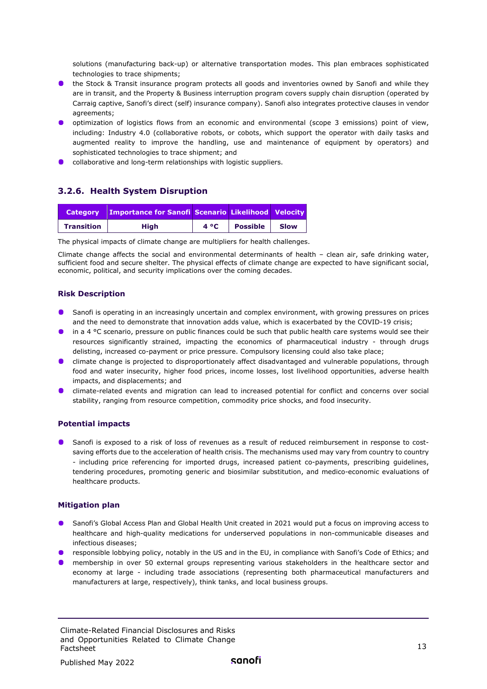solutions (manufacturing back-up) or alternative transportation modes. This plan embraces sophisticated technologies to trace shipments;

- **IDED** the Stock & Transit insurance program protects all goods and inventories owned by Sanofi and while they are in transit, and the Property & Business interruption program covers supply chain disruption (operated by Carraig captive, Sanofi's direct (self) insurance company). Sanofi also integrates protective clauses in vendor agreements;
- **O** optimization of logistics flows from an economic and environmental (scope 3 emissions) point of view, including: Industry 4.0 (collaborative robots, or cobots, which support the operator with daily tasks and augmented reality to improve the handling, use and maintenance of equipment by operators) and sophisticated technologies to trace shipment; and
- **O** collaborative and long-term relationships with logistic suppliers.

#### <span id="page-12-0"></span>**3.2.6. Health System Disruption**

| <b>Category</b>   | <b>Importance for Sanofi Scenario Likelihood Velocity</b> |      |                 |             |
|-------------------|-----------------------------------------------------------|------|-----------------|-------------|
| <b>Transition</b> | High                                                      | 4 °C | <b>Possible</b> | <b>Slow</b> |

The physical impacts of climate change are multipliers for health challenges.

Climate change affects the social and environmental determinants of health – clean air, safe drinking water, sufficient food and secure shelter. The physical effects of climate change are expected to have significant social, economic, political, and security implications over the coming decades.

#### **Risk Description**

- **S** Sanofi is operating in an increasingly uncertain and complex environment, with growing pressures on prices and the need to demonstrate that innovation adds value, which is exacerbated by the COVID-19 crisis;
- In a 4 °C scenario, pressure on public finances could be such that public health care systems would see their resources significantly strained, impacting the economics of pharmaceutical industry - through drugs delisting, increased co-payment or price pressure. Compulsory licensing could also take place;
- **O** climate change is projected to disproportionately affect disadvantaged and vulnerable populations, through food and water insecurity, higher food prices, income losses, lost livelihood opportunities, adverse health impacts, and displacements; and
- **C** climate-related events and migration can lead to increased potential for conflict and concerns over social stability, ranging from resource competition, commodity price shocks, and food insecurity.

#### **Potential impacts**

**Sanofi is exposed to a risk of loss of revenues as a result of reduced reimbursement in response to cost**saving efforts due to the acceleration of health crisis. The mechanisms used may vary from country to country - including price referencing for imported drugs, increased patient co-payments, prescribing guidelines, tendering procedures, promoting generic and biosimilar substitution, and medico-economic evaluations of healthcare products.

#### **Mitigation plan**

- **Sanofi's Global Access Plan and Global Health Unit created in 2021 would put a focus on improving access to** healthcare and high-quality medications for underserved populations in non-communicable diseases and infectious diseases;
- **P** responsible lobbying policy, notably in the US and in the EU, in compliance with Sanofi's Code of Ethics; and
- <span id="page-12-1"></span>membership in over 50 external groups representing various stakeholders in the healthcare sector and economy at large - including trade associations (representing both pharmaceutical manufacturers and manufacturers at large, respectively), think tanks, and local business groups.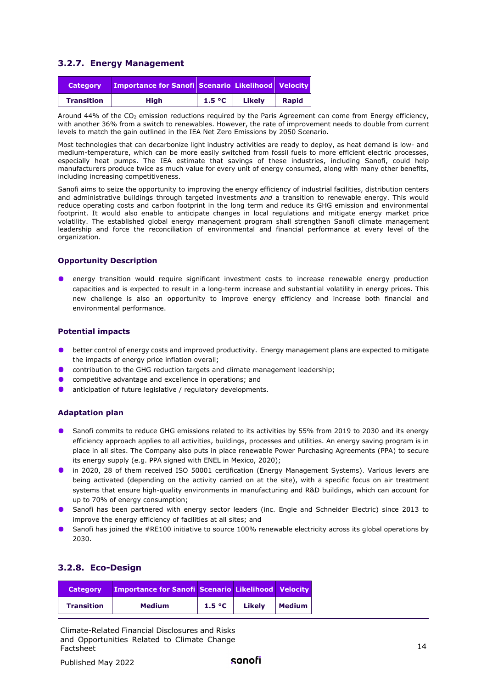#### <span id="page-13-0"></span>**3.2.7. Energy Management**

| <b>Category</b>   | Importance for Sanofi Scenario Likelihood Velocity |        |        |              |
|-------------------|----------------------------------------------------|--------|--------|--------------|
| <b>Transition</b> | High                                               | 1.5 °C | Likely | <b>Rapid</b> |

Around 44% of the  $CO<sub>2</sub>$  emission reductions required by the Paris Agreement can come from Energy efficiency, with another 36% from a switch to renewables. However, the rate of improvement needs to double from current levels to match the gain outlined in the IEA Net Zero Emissions by 2050 Scenario.

Most technologies that can decarbonize light industry activities are ready to deploy, as heat demand is low- and medium-temperature, which can be more easily switched from fossil fuels to more efficient electric processes, especially heat pumps. The IEA estimate that savings of these industries, including Sanofi, could help manufacturers produce twice as much value for every unit of energy consumed, along with many other benefits, including increasing competitiveness.

Sanofi aims to seize the opportunity to improving the energy efficiency of industrial facilities, distribution centers and administrative buildings through targeted investments *and* a transition to renewable energy. This would reduce operating costs and carbon footprint in the long term and reduce its GHG emission and environmental footprint. It would also enable to anticipate changes in local regulations and mitigate energy market price volatility. The established global energy management program shall strengthen Sanofi climate management leadership and force the reconciliation of environmental and financial performance at every level of the organization.

#### **Opportunity Description**

energy transition would require significant investment costs to increase renewable energy production capacities and is expected to result in a long-term increase and substantial volatility in energy prices. This new challenge is also an opportunity to improve energy efficiency and increase both financial and environmental performance.

#### **Potential impacts**

- better control of energy costs and improved productivity. Energy management plans are expected to mitigate the impacts of energy price inflation overall;
- contribution to the GHG reduction targets and climate management leadership;
- competitive advantage and excellence in operations; and
- $\bullet$ anticipation of future legislative / regulatory developments.

#### **Adaptation plan**

- **Sanofi commits to reduce GHG emissions related to its activities by 55% from 2019 to 2030 and its energy** efficiency approach applies to all activities, buildings, processes and utilities. An energy saving program is in place in all sites. The Company also puts in place renewable Power Purchasing Agreements (PPA) to secure its energy supply (e.g. PPA signed with ENEL in Mexico, 2020);
- **The 1020, 28 of them received ISO 50001 certification (Energy Management Systems). Various levers are** being activated (depending on the activity carried on at the site), with a specific focus on air treatment systems that ensure high-quality environments in manufacturing and R&D buildings, which can account for up to 70% of energy consumption;
- Sanofi has been partnered with energy sector leaders (inc. Engie and Schneider Electric) since 2013 to improve the energy efficiency of facilities at all sites; and
- Sanofi has joined the #RE100 initiative to source 100% renewable electricity across its global operations by 2030.

#### <span id="page-13-1"></span>**3.2.8. Eco-Design**

| <b>Category</b>   | Importance for Sanofi Scenario Likelihood Velocity |        |        |               |
|-------------------|----------------------------------------------------|--------|--------|---------------|
| <b>Transition</b> | <b>Medium</b>                                      | 1.5 °C | Likely | <b>Medium</b> |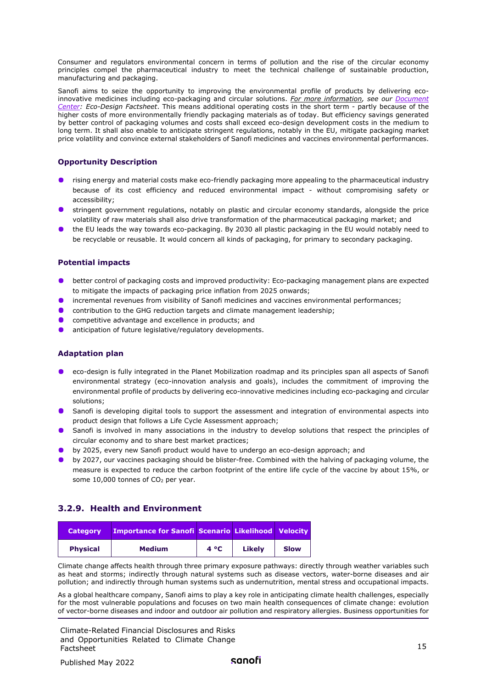Consumer and regulators environmental concern in terms of pollution and the rise of the circular economy principles compel the pharmaceutical industry to meet the technical challenge of sustainable production, manufacturing and packaging.

Sanofi aims to seize the opportunity to improving the environmental profile of products by delivering ecoinnovative medicines including eco-packaging and circular solutions. *For more information, see our [Document](https://www.sanofi.com/en/our-responsibility/documents-center/all-factsheets)  [Center:](https://www.sanofi.com/en/our-responsibility/documents-center/all-factsheets) Eco-Design Factsheet*. This means additional operating costs in the short term - partly because of the higher costs of more environmentally friendly packaging materials as of today. But efficiency savings generated by better control of packaging volumes and costs shall exceed eco-design development costs in the medium to long term. It shall also enable to anticipate stringent regulations, notably in the EU, mitigate packaging market price volatility and convince external stakeholders of Sanofi medicines and vaccines environmental performances.

#### **Opportunity Description**

- **•** rising energy and material costs make eco-friendly packaging more appealing to the pharmaceutical industry because of its cost efficiency and reduced environmental impact - without compromising safety or accessibility;
- **•** stringent government regulations, notably on plastic and circular economy standards, alongside the price volatility of raw materials shall also drive transformation of the pharmaceutical packaging market; and
- the EU leads the way towards eco-packaging. By 2030 all plastic packaging in the EU would notably need to be recyclable or reusable. It would concern all kinds of packaging, for primary to secondary packaging.

#### **Potential impacts**

- **O** better control of packaging costs and improved productivity: Eco-packaging management plans are expected to mitigate the impacts of packaging price inflation from 2025 onwards;
- incremental revenues from visibility of Sanofi medicines and vaccines environmental performances;
- $\bullet$ contribution to the GHG reduction targets and climate management leadership;
- competitive advantage and excellence in products; and
- anticipation of future legislative/regulatory developments.

#### **Adaptation plan**

- eco-design is fully integrated in the Planet Mobilization roadmap and its principles span all aspects of Sanofi environmental strategy (eco-innovation analysis and goals), includes the commitment of improving the environmental profile of products by delivering eco-innovative medicines including eco-packaging and circular solutions;
- **S** Sanofi is developing digital tools to support the assessment and integration of environmental aspects into product design that follows a Life Cycle Assessment approach;
- **Sanofi is involved in many associations in the industry to develop solutions that respect the principles of** circular economy and to share best market practices;
- by 2025, every new Sanofi product would have to undergo an eco-design approach; and
- **b** by 2027, our vaccines packaging should be blister-free. Combined with the halving of packaging volume, the measure is expected to reduce the carbon footprint of the entire life cycle of the vaccine by about 15%, or some  $10,000$  tonnes of  $CO<sub>2</sub>$  per year.

#### <span id="page-14-0"></span>**3.2.9. Health and Environment**

| <b>Category</b> | <b>Importance for Sanofi Scenario Likelihood Velocity</b> |              |        |      |
|-----------------|-----------------------------------------------------------|--------------|--------|------|
| <b>Physical</b> | <b>Medium</b>                                             | $4^{\circ}C$ | Likely | Slow |

Climate change affects health through three primary exposure pathways: directly through weather variables such as heat and storms; indirectly through natural systems such as disease vectors, water-borne diseases and air pollution; and indirectly through human systems such as undernutrition, mental stress and occupational impacts.

As a global healthcare company, Sanofi aims to play a key role in anticipating climate health challenges, especially for the most vulnerable populations and focuses on two main health consequences of climate change: evolution of vector-borne diseases and indoor and outdoor air pollution and respiratory allergies. Business opportunities for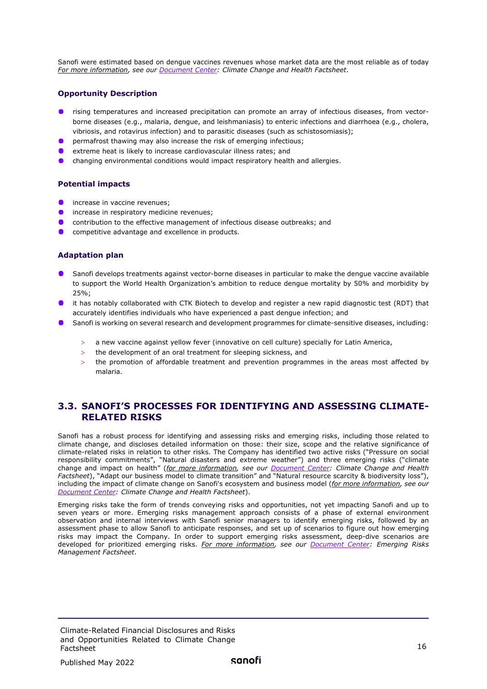Sanofi were estimated based on dengue vaccines revenues whose market data are the most reliable as of today *For more information, see our [Document Center:](https://www.sanofi.com/en/our-responsibility/documents-center/all-factsheets) Climate Change and Health Factsheet*.

#### **Opportunity Description**

- **•** rising temperatures and increased precipitation can promote an array of infectious diseases, from vectorborne diseases (e.g., malaria, dengue, and leishmaniasis) to enteric infections and diarrhoea (e.g., cholera, vibriosis, and rotavirus infection) and to parasitic diseases (such as schistosomiasis);
- **P** permafrost thawing may also increase the risk of emerging infectious;
- extreme heat is likely to increase cardiovascular illness rates; and
- changing environmental conditions would impact respiratory health and allergies.

#### **Potential impacts**

- increase in vaccine revenues;
- **O** increase in respiratory medicine revenues;
- contribution to the effective management of infectious disease outbreaks; and
- **C** competitive advantage and excellence in products.

#### **Adaptation plan**

- **S** Sanofi develops treatments against vector-borne diseases in particular to make the dengue vaccine available to support the World Health Organization's ambition to reduce dengue mortality by 50% and morbidity by  $25%$
- **In** it has notably collaborated with CTK Biotech to develop and register a new rapid diagnostic test (RDT) that accurately identifies individuals who have experienced a past dengue infection; and
- **Sanofi is working on several research and development programmes for climate-sensitive diseases, including:** 
	- a new vaccine against yellow fever (innovative on cell culture) specially for Latin America,
	- > the development of an oral treatment for sleeping sickness, and
	- the promotion of affordable treatment and prevention programmes in the areas most affected by malaria.

#### <span id="page-15-0"></span>**3.3. SANOFI'S PROCESSES FOR IDENTIFYING AND ASSESSING CLIMATE-RELATED RISKS**

Sanofi has a robust process for identifying and assessing risks and emerging risks, including those related to climate change, and discloses detailed information on those: their size, scope and the relative significance of climate-related risks in relation to other risks. The Company has identified two active risks ("Pressure on social responsibility commitments", "Natural disasters and extreme weather") and three emerging risks ("climate change and impact on health" (*for more information, see our [Document Center:](https://www.sanofi.com/en/our-responsibility/documents-center/all-factsheets) Climate Change and Health Factsheet*), "Adapt our business model to climate transition" and "Natural resource scarcity & biodiversity loss"), including the impact of climate change on Sanofi's ecosystem and business model (*for more information, see our [Document Center:](https://www.sanofi.com/en/our-responsibility/documents-center/all-factsheets) Climate Change and Health Factsheet*).

Emerging risks take the form of trends conveying risks and opportunities, not yet impacting Sanofi and up to seven years or more. Emerging risks management approach consists of a phase of external environment observation and internal interviews with Sanofi senior managers to identify emerging risks, followed by an assessment phase to allow Sanofi to anticipate responses, and set up of scenarios to figure out how emerging risks may impact the Company. In order to support emerging risks assessment, deep-dive scenarios are developed for prioritized emerging risks. *For more information, see our [Document Center:](https://www.sanofi.com/en/our-responsibility/documents-center/all-factsheets) Emerging Risks Management Factsheet*.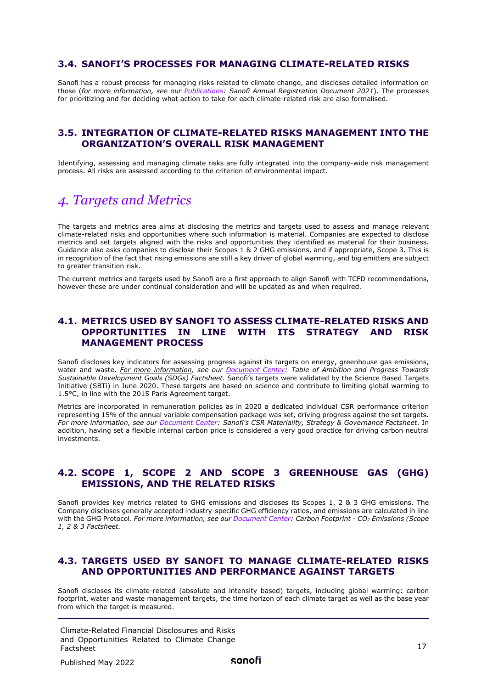#### <span id="page-16-0"></span>**3.4. SANOFI'S PROCESSES FOR MANAGING CLIMATE-RELATED RISKS**

Sanofi has a robust process for managing risks related to climate change, and discloses detailed information on those (*for more information, see our [Publications:](https://www.sanofi.com/en/investors/reports-and-publications/financial-and-csr-reports) Sanofi Annual Registration Document 2021*). The processes for prioritizing and for deciding what action to take for each climate-related risk are also formalised.

#### <span id="page-16-1"></span>**3.5. INTEGRATION OF CLIMATE-RELATED RISKS MANAGEMENT INTO THE ORGANIZATION'S OVERALL RISK MANAGEMENT**

Identifying, assessing and managing climate risks are fully integrated into the company-wide risk management process. All risks are assessed according to the criterion of environmental impact.

## <span id="page-16-2"></span>*4. Targets and Metrics*

The targets and metrics area aims at disclosing the metrics and targets used to assess and manage relevant climate-related risks and opportunities where such information is material. Companies are expected to disclose metrics and set targets aligned with the risks and opportunities they identified as material for their business. Guidance also asks companies to disclose their Scopes 1 & 2 GHG emissions, and if appropriate, Scope 3. This is in recognition of the fact that rising emissions are still a key driver of global warming, and big emitters are subject to greater transition risk.

<span id="page-16-3"></span>The current metrics and targets used by Sanofi are a first approach to align Sanofi with TCFD recommendations, however these are under continual consideration and will be updated as and when required.

#### **4.1. METRICS USED BY SANOFI TO ASSESS CLIMATE-RELATED RISKS AND OPPORTUNITIES IN LINE WITH ITS STRATEGY AND RISK MANAGEMENT PROCESS**

Sanofi discloses key indicators for assessing progress against its targets on energy, greenhouse gas emissions, water and waste. *For more information, see our [Document Center:](https://www.sanofi.com/en/our-responsibility/documents-center/all-factsheets) Table of Ambition and Progress Towards Sustainable Development Goals (SDGs) Factsheet*. Sanofi's targets were validated by the Science Based Targets Initiative (SBTi) in June 2020. These targets are based on science and contribute to limiting global warming to 1.5°C, in line with the 2015 Paris Agreement target.

Metrics are incorporated in remuneration policies as in 2020 a dedicated individual CSR performance criterion representing 15% of the annual variable compensation package was set, driving progress against the set targets. *For more information, see our [Document Center:](https://www.sanofi.com/en/our-responsibility/documents-center/all-factsheets) Sanofi's CSR Materiality, Strategy & Governance Factsheet*. In addition, having set a flexible internal carbon price is considered a very good practice for driving carbon neutral investments.

#### <span id="page-16-4"></span>**4.2. SCOPE 1, SCOPE 2 AND SCOPE 3 GREENHOUSE GAS (GHG) EMISSIONS, AND THE RELATED RISKS**

Sanofi provides key metrics related to GHG emissions and discloses its Scopes 1, 2 & 3 GHG emissions. The Company discloses generally accepted industry-specific GHG efficiency ratios, and emissions are calculated in line with the GHG Protocol. *For more information, see our [Document Center:](https://www.sanofi.com/en/our-responsibility/documents-center/all-factsheets) Carbon Footprint - CO2 Emissions (Scope 1, 2 & 3 Factsheet.* 

#### <span id="page-16-5"></span>**4.3. TARGETS USED BY SANOFI TO MANAGE CLIMATE-RELATED RISKS AND OPPORTUNITIES AND PERFORMANCE AGAINST TARGETS**

Sanofi discloses its climate-related (absolute and intensity based) targets, including global warming: carbon footprint, water and waste management targets, the time horizon of each climate target as well as the base year from which the target is measured.